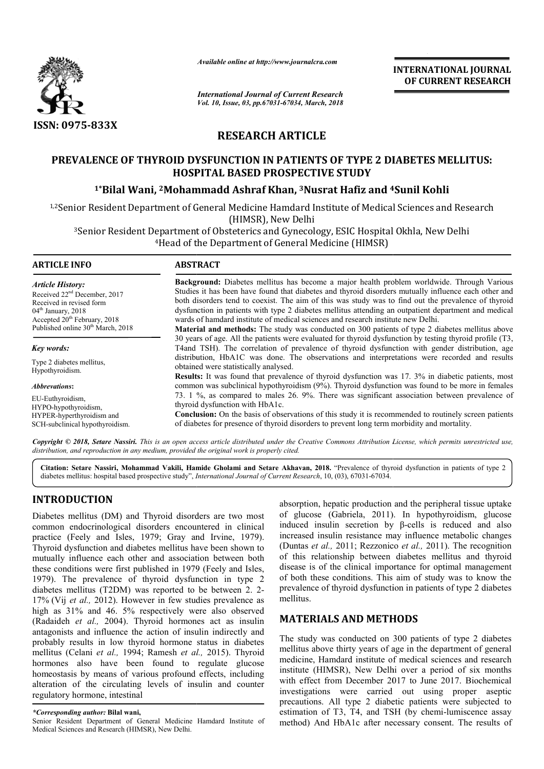

*Available online at http://www.journalcra.com*

*International Journal of Current Research Vol. 10, Issue, 03, pp.67031-67034, March, 2018* **INTERNATIONAL JOURNAL OF CURRENT RESEARCH**

# **RESEARCH ARTICLE**

# **PREVALENCE OF THYROID DYSFUNCTION IN PATIENTS OF TYPE 2 DIABETES MELLITUS:**<br>HOSPITAL BASED PROSPECTIVE STUDY<br><sup>1\*</sup>Bilal Wani, <sup>2</sup>Mohammadd Ashraf Khan, <sup>3</sup>Nusrat Hafiz and <sup>4</sup>Sunil Kohli **HOSPITAL BASED PROSPECTIVE STUDY**

## <sup>1\*</sup>Bilal Wani, <sup>2</sup>Mohammadd Ashraf Khan, <sup>3</sup>Nusrat Hafiz and <sup>4</sup>

1,2Senior Resident Department of General Medicine Hamdard Institute of Medical Sciences and Research (HIMSR), New Delhi

<sup>3</sup>Senior Resident Department of Obsteterics and Gynecology, ESIC Hospital Okhla, New Delhi <sup>4</sup> Head of the Department of General Medicine (HIMSR)

*Article History:* Received 22nd December, 2017 Received in revised form 04<sup>th</sup> January, 2018 Accepted  $20<sup>th</sup>$  February, 2018 Published online 30<sup>th</sup> March, 2018

#### *Key words:*

Type 2 diabetes mellitus, Hypothyroidism.

*Abbrevations***:** 

EU-Euthyroidism, HYPO-hypothyroidism, HYPER-hyperthyroidism and SCH-subclinical hypothyroidism.

### **ARTICLE INFO ABSTRACT**

Background: Diabetes mellitus has become a major health problem worldwide. Through Various Studies it has been have found that diabetes and thyroid disorders mutually influence each other and both disorders tend to coexist. The aim of this was study was to find out the prevalence of thyroid dysfunction in patients with type 2 diabetes mellitus attending an outpatient department and medical wards of hamdard institute of medical sciences and research institute new Delhi.

**Material and methods:** The study was conducted on 300 patients of type 2 diabetes mellitus above 30 years of age. All the patients were evaluated for thyroid dysfunction by testing thyroid profile (T3, 30 years of age. All the patients were evaluated for thyroid dysfunction by testing thyroid profile (T3, T4and TSH). The correlation of prevalence of thyroid dysfunction with gender distribution, age distribution, HbA1C was done. The observations and interpretations were recorded and results obtained were statistically analysed.

**Results:** It was found that prevalence of thyroid dysfunction was 17. 3% in diabetic patients, most common was subclinical hypothyroidism (9%). Thyroid dysfunction was found to be more in females 73. 1 % %, as compared to males 26. 9%. There was significant association between prevalence of thyroid dysfunction with HbA1c. ypothyroidism (9%). Thyroid dysfunction was found to be mor<br>males 26. 9%. There was significant association between pr<br>lbA1c.<br>of observations of this study it is recommended to routinely scr<br>thyroid disorders to prevent lo

**Conclusion:** On the basis of observations of this study it is recommended to routinely screen patients of diabetes for presence of thyroid disor disorders to prevent long term morbidity and mortality

Copyright © 2018, Setare Nassiri. This is an open access article distributed under the Creative Commons Attribution License, which permits unrestricted use, *distribution, and reproduction in any medium, provided the original work is properly cited.* 

Citation: Setare Nassiri, Mohammad Vakili, Hamide Gholami and Setare Akhavan, 2018. "Prevalence of thyroid dysfunction in patients of type 2 diabetes mellitus: hospital based prospective study", *International Journal of Current Research* , 10, (03), 67031-67034.

# **INTRODUCTION**

Diabetes mellitus (DM) and Thyroid disorders are two most common endocrinological disorders encountered in clinical practice (Feely and Isles, 1979; Gray and Irvine, 1979). Thyroid dysfunction and diabetes mellitus have been shown to mutually influence each other and association between both these conditions were first published in 1979 (Feely and Isles, 1979). The prevalence of thyroid dysfunction in type 2 diabetes mellitus (T2DM) was reported to be between 2. 2- 17% (Vij *et al.,* 2012). However in few studies prevalence as high as 31% and 46. 5% respectively were also observed (Radaideh *et al.,* 2004). Thyroid hormones act as insulin antagonists and influence the action of insulin indirectly and probably results in low thyroid hormone status in diabetes mellitus (Celani *et al.,* 1994; Ramesh *et al al.,* 2015). Thyroid hormones also have been found to regulate glucose homeostasis by means of various profound effects, including alteration of the circulating levels of insulin and counter<br>
regulatory hormone, intestinal<br>
\*Corresponding author: Bilal wani,<br>
Senior Resident Department of General Medicine Hamdard Institute of regulatory hormone, intestinal

*\*Corresponding author:* **Bilal wani,** 

Senior Resident Department of General Medicine Hamdard Institute of Medical Sciences and Research (HIMSR), New Delhi.

absorption, hepatic production and the peripheral tissue uptake absorption, hepatic production and the peripheral tissue uptake<br>of glucose (Gabriela, 2011). In hypothyroidism, glucose induced insulin secretion by  $\beta$ -cells is reduced and also increased insulin resistance may influence metabolic changes (Duntas *et al.,* 2011; Rezzonico *et al.,* 2011). The recognition of this relationship between diabetes mellitus and thyroid disease is of the clinical importance for optimal management of both these conditions. This aim of study was to know the prevalence of thyroid dysfunction in patients of type 2 diabetes mellitus.

## **MATERIALS AND METHODS METHODS**

The study was conducted on 300 patients of type 2 diabetes mellitus above thirty years of age in the department of general medicine, Hamdard institute of medical sciences and research institute (HIMSR), New Delhi over a period of six months with effect from December 2017 to June 2017. Biochemical investigations were carried out using proper aseptic investigations were carried out using proper aseptic<br>precautions. All type 2 diabetic patients were subjected to estimation of T3, T4, and TSH (by chemi-lumiscence assay method) And HbA1c after necessary consent. The results of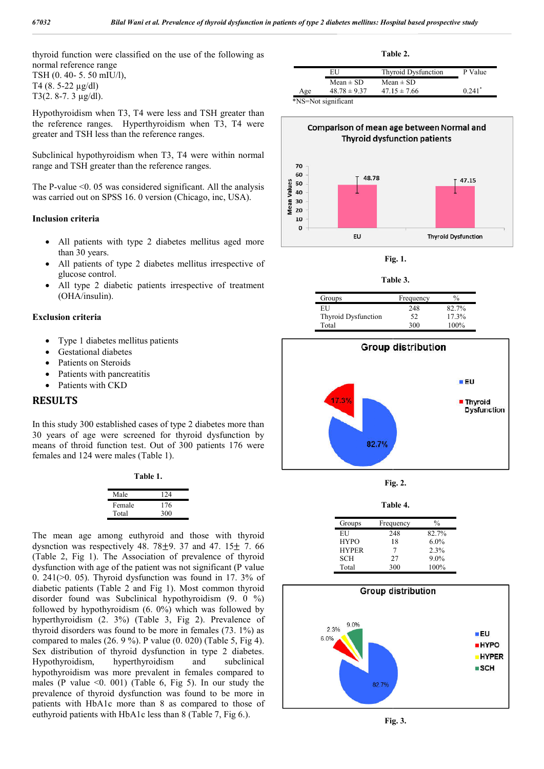thyroid function were classified on the use of the following as normal reference range TSH (0. 40- 5. 50 mIU/l), T4 (8. 5-22 µg/dl)

T3(2. 8-7. 3 µg/dl).

Hypothyroidism when T3, T4 were less and TSH greater than the reference ranges. Hyperthyroidism when T3, T4 were greater and TSH less than the reference ranges.

Subclinical hypothyroidism when T3, T4 were within normal range and TSH greater than the reference ranges.

The P-value  $\leq 0$ . 05 was considered significant. All the analysis was carried out on SPSS 16. 0 version (Chicago, inc, USA).

#### **Inclusion criteria**

- All patients with type 2 diabetes mellitus aged more than 30 years.
- All patients of type 2 diabetes mellitus irrespective of glucose control.
- All type 2 diabetic patients irrespective of treatment (OHA/insulin).

#### **Exclusion criteria**

- Type 1 diabetes mellitus patients
- Gestational diabetes
- Patients on Steroids
- Patients with pancreatitis
- Patients with CKD

#### **RESULTS**

In this study 300 established cases of type 2 diabetes more than 30 years of age were screened for thyroid dysfunction by means of throid function test. Out of 300 patients 176 were females and 124 were males (Table 1).

**Table 1.**

| Male   | 124 |
|--------|-----|
| Female | 176 |
| Total  | 300 |

The mean age among euthyroid and those with thyroid dysnction was respectively 48.  $78\pm9$ . 37 and 47.  $15\pm$  7. 66 (Table 2, Fig 1). The Association of prevalence of thyroid dysfunction with age of the patient was not significant (P value 0. 241(>0. 05). Thyroid dysfunction was found in 17 17. 3% of diabetic patients (Table 2 and Fig 1). Most common thyroid disorder found was Subclinical hypothyroidism (9. 0 %) followed by hypothyroidism (6. 0%) which was followed by hyperthyroidism (2. 3%) (Table 3, Fig 2 2). Prevalence of thyroid disorders was found to be more in females (73. 1%) as compared to males (26. 9 %). P value (0. 020) (Table 5, Fig 4). Sex distribution of thyroid dysfunction in type 2 diabetes. Hypothyroidism, hyperthyroidism and subclinical hypothyroidism was more prevalent in females compared to males (P value  $\leq 0$ . 001) (Table 6, Fig 5). In our study the prevalence of thyroid dysfunction was found to be more in patients with HbA1c more than 8 as compared to those of euthyroid patients with  $HbA1c$  less than 8 (Table 7, Fig 6.).

|     |                                                                 | Table 2.                   |                      |
|-----|-----------------------------------------------------------------|----------------------------|----------------------|
|     | EU                                                              | <b>Thyroid Dysfunction</b> | P Value              |
|     | $Mean \pm SD$                                                   | Mean $\pm$ SD              |                      |
| Age | $48.78 \pm 9.37$                                                | $47.15 \pm 7.66$           | $0.241$ <sup>*</sup> |
|     | $\star$ and $\star$ in $\cdot$ in $\cdot$ in $\cdot$ in $\cdot$ |                            |                      |





**Fig. 1.**

**Table Table 3.**

| Groups                     | Frequency | $\frac{0}{0}$ |
|----------------------------|-----------|---------------|
| EU                         | 248       | 82.7%         |
| <b>Thyroid Dysfunction</b> | 52        | 17.3%         |
| Total                      | 300       | $100\%$       |



**Fig. 2.**

**Table Table 4.**

| Groups       | Frequency | $^{0/0}$ |
|--------------|-----------|----------|
| EH           | 248       | 82.7%    |
| <b>HYPO</b>  | 18        | $6.0\%$  |
| <b>HYPER</b> |           | 2.3%     |
| <b>SCH</b>   | 27        | $9.0\%$  |
| Total        | 300       | 100%     |



**Fig. 3.**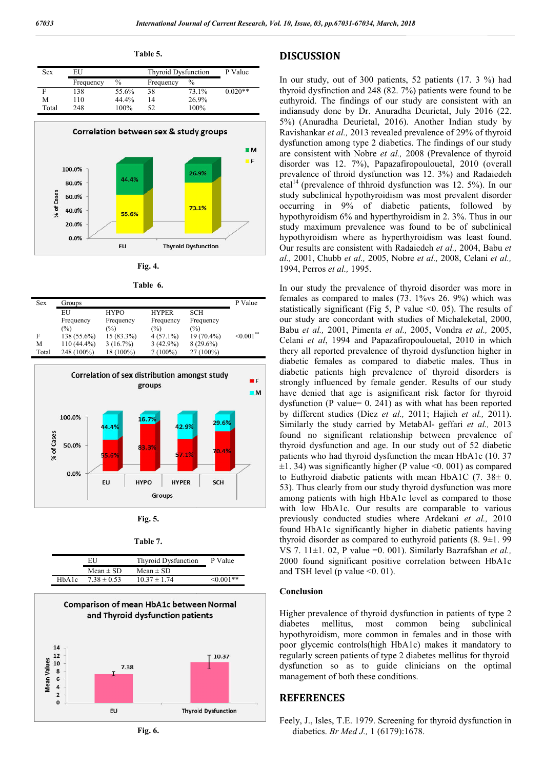**Table 5.**

| Sex   | EU        |       | Thyroid Dysfunction |       | P Value   |
|-------|-----------|-------|---------------------|-------|-----------|
|       | Frequency | $\%$  | Frequency           | $\%$  |           |
|       | 138       | 55.6% | 38                  | 73.1% | $0.020**$ |
| M     | 110       | 44.4% | 14                  | 26.9% |           |
| Total | 248       | 100%  | 52                  | 100%  |           |



**Fig. 4.**

| Table | n. |
|-------|----|
|       |    |

| <b>Sex</b> | Groups      |                |                |             | P Value      |
|------------|-------------|----------------|----------------|-------------|--------------|
|            | EU          | <b>HYPO</b>    | <b>HYPER</b>   | <b>SCH</b>  |              |
|            | Frequency   | Frequency      | Frequency      | Frequency   |              |
|            | $(\%)$      | $\binom{0}{0}$ | $\binom{0}{0}$ | (%)         |              |
| F          | 138 (55.6%) | 15 (83.3%)     | $4(57.1\%)$    | 19 (70.4%)  | $< 0.001$ ** |
| M          | 110 (44.4%) | 3(16.7%)       | $3(42.9\%)$    | $8(29.6\%)$ |              |
| Total      | 248 (100%)  | 18 (100%)      | 7 (100%)       | $27(100\%)$ |              |



**Fig. 5.**

| ahl<br>16 |  |
|-----------|--|

|       | ЕU              | Thyroid Dysfunction | P Value     |
|-------|-----------------|---------------------|-------------|
|       | Mean $\pm$ SD   | Mean $\pm$ SD       |             |
| HbA1c | $7.38 \pm 0.53$ | $10.37 \pm 1.74$    | $< 0.001**$ |



#### **DISCUSSION**

In our study, out of 300 patients, 300 patients, 52 patients (17. 3 %) had thyroid dysfinction and 248 (82 (82. 7%) patients were found to be euthyroid. The findings of our study are consistent with an indiansudy done by Dr. Anuradha Deurietal, July 2016 (22. 5%) (Anuradha Deurietal, 2016). Another Indian study by Ravishankar *et al.,* 2013 revealed prevalence of 29% of thyroid dysfunction among type 2 diabetics. The findings of our study are consistent with Nobre et al., 2008 (Prevalence of thyroid disorder was 12. 7%), Papazafiropoulouetal, 2010 (overall prevalence of throid dysfunction was 12. 3%) and Radaiedeh etal<sup>14</sup> (prevalence of thhroid dysfunction was 12. 5%). In our study subclinical hypothyroidism was most prevalent disorder study subclinical hypothyroidism was most prevalent disorder<br>occurring in 9% of diabetic patients, followed by hypothyroidism 6% and hyperthyroidism in 2. 3%. Thus in our study maximum prevalence was found to be of subclinical study maximum prevalence was found to be of subclinical hypothyroidism where as hyperthyroidism was least found. Our results are consistent with Radaiedeh et al., 2004, Babu et *al.,* 2001, Chubb *et al.,* 2005, Nobre *et al.,* 2008, Celani *et al.,* 1994, Perros *et al.,* 1995.

In our study the prevalence of thyroid disorder was more in In our study the prevalence of thyroid disorder was more in females as compared to males (73. 1% vs 26. 9%) which was statistically significant (Fig 5, P value  $\leq 0$ . 05). The results of our study are concordant with studies of Michaleketal, 2000, Babu *et al.,* 2001, Pimenta *et al et al.,* 2005, Vondra *et al.,* 2005, Celani *et al*, 1994 and Papazafiropoulouetal Papazafiropoulouetal, 2010 in which thery all reported prevalence of thyroid dysfunction higher in diabetic females as compared to diabetic males. Thus in diabetic patients high prevalence of thyroid disorders is diabetic patients high prevalence of thyroid disorders is strongly influenced by female gender. Results of our study have denied that age is asignificant risk factor for thyroid have denied that age is asignificant risk factor for thyroid dysfunction (P value= 0. 241) as with what has been reported by different studies (Díez *et al al.,* 2011; Hajieh *et al.,* 2011). Similarly the study carried by MetabAl- geffari et al., 2013 found no significant relationship between prevalence of thyroid dysfunction and age. In our study out of 52 diabetic thyroid dysfunction and age. In our study out of 52 diabetic patients who had thyroid dysfunction the mean HbA1c (10. 37  $\pm 1$ . 34) was significantly higher (P value <0. 001) as compared to Euthyroid diabetic patients with mean HbA1C  $(7. 38 \pm 0.$ 53). Thus clearly from our study thyroid dysfunction was more among patients with high HbA1c level as compared to those with low HbA1c. Our results are comparable to various previously conducted studies where Ardekani *et al.,* 2010 found HbA1c significantly higher in diabetic patients having thyroid disorder as compared to euthyroid patients  $(8.9\pm1.99)$ VS 7. 11±1. 02, P value =0. 001) 001). Similarly Bazrafshan *et al.,*  2000 found significant positive correlation between HbA1c and TSH level (p value  $\leq 0.01$ ).

#### **Conclusion**

Higher prevalence of thyroid dysfunction in patients of type 2 diabetes mellitus, most common being subclinical hypothyroidism, more common in females and in those with poor glycemic controls(high HbA1c) makes it mandatory to regularly screen patients of type 2 diabetes mellitus for thyroid dysfunction so as to guide clinicians on the optimal management of both these conditions. management of both these conditions

#### **REFERENCES**

Feely, J., Isles, T.E. 1979. Screening for thyroid dysfunction in diabetics. *Br Med J.,* 1 (6179):1678 1 (6179):1678.